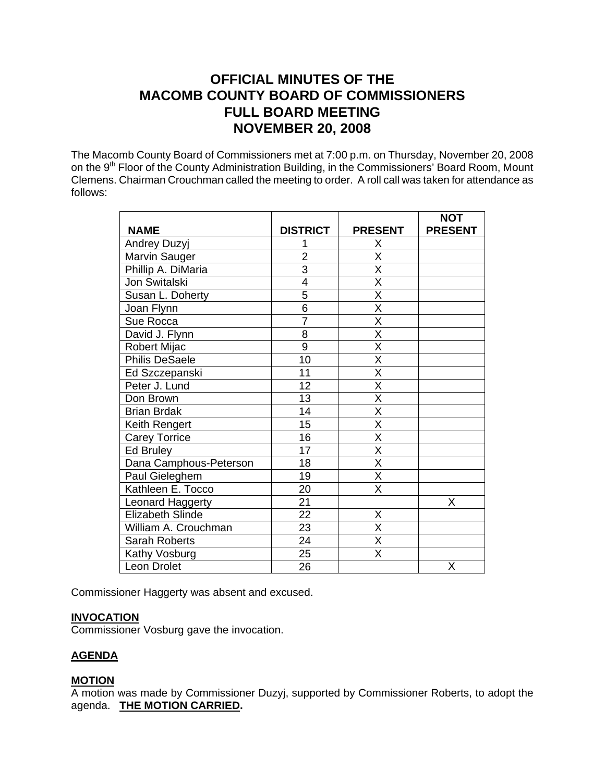# **OFFICIAL MINUTES OF THE MACOMB COUNTY BOARD OF COMMISSIONERS FULL BOARD MEETING NOVEMBER 20, 2008**

The Macomb County Board of Commissioners met at 7:00 p.m. on Thursday, November 20, 2008 on the 9<sup>th</sup> Floor of the County Administration Building, in the Commissioners' Board Room, Mount Clemens. Chairman Crouchman called the meeting to order. A roll call was taken for attendance as follows:

|                        |                 |                         | <b>NOT</b>     |
|------------------------|-----------------|-------------------------|----------------|
| <b>NAME</b>            | <b>DISTRICT</b> | <b>PRESENT</b>          | <b>PRESENT</b> |
| <b>Andrey Duzyj</b>    |                 | Χ                       |                |
| Marvin Sauger          | $\overline{2}$  | $\overline{\mathsf{x}}$ |                |
| Phillip A. DiMaria     | $\overline{3}$  | $\overline{\mathsf{x}}$ |                |
| Jon Switalski          | 4               | X                       |                |
| Susan L. Doherty       | 5               | $\overline{\mathsf{x}}$ |                |
| Joan Flynn             | $\overline{6}$  | $\overline{\mathsf{x}}$ |                |
| Sue Rocca              | $\overline{7}$  | X                       |                |
| David J. Flynn         | 8               | $\overline{\mathsf{x}}$ |                |
| Robert Mijac           | $\overline{9}$  | $\overline{\mathsf{x}}$ |                |
| Philis DeSaele         | 10              | $\overline{\mathsf{x}}$ |                |
| Ed Szczepanski         | 11              | $\overline{\mathsf{x}}$ |                |
| Peter J. Lund          | 12              | X                       |                |
| Don Brown              | 13              | $\overline{\mathsf{x}}$ |                |
| <b>Brian Brdak</b>     | 14              | $\overline{\mathsf{x}}$ |                |
| Keith Rengert          | 15              | X                       |                |
| <b>Carey Torrice</b>   | 16              | $\overline{\mathsf{x}}$ |                |
| Ed Bruley              | 17              | $\overline{\sf x}$      |                |
| Dana Camphous-Peterson | 18              | $\overline{\mathsf{x}}$ |                |
| Paul Gieleghem         | 19              | X                       |                |
| Kathleen E. Tocco      | 20              | $\overline{\mathsf{x}}$ |                |
| Leonard Haggerty       | 21              |                         | X              |
| Elizabeth Slinde       | 22              | Χ                       |                |
| William A. Crouchman   | 23              | $\overline{\mathsf{X}}$ |                |
| <b>Sarah Roberts</b>   | 24              | $\overline{X}$          |                |
| Kathy Vosburg          | 25              | $\overline{\mathsf{x}}$ |                |
| Leon Drolet            | 26              |                         | X              |

Commissioner Haggerty was absent and excused.

# **INVOCATION**

Commissioner Vosburg gave the invocation.

# **AGENDA**

# **MOTION**

A motion was made by Commissioner Duzyj, supported by Commissioner Roberts, to adopt the agenda. **THE MOTION CARRIED.**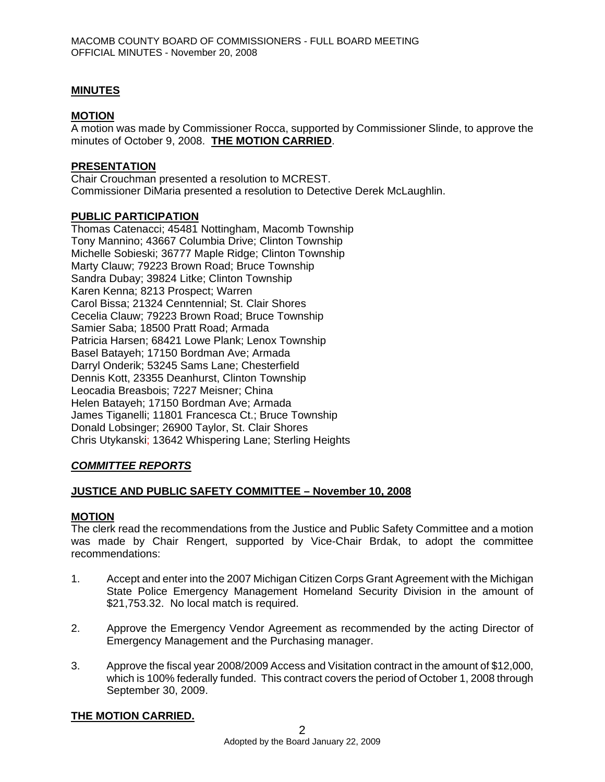# **MINUTES**

### **MOTION**

A motion was made by Commissioner Rocca, supported by Commissioner Slinde, to approve the minutes of October 9, 2008. **THE MOTION CARRIED**.

### **PRESENTATION**

Chair Crouchman presented a resolution to MCREST. Commissioner DiMaria presented a resolution to Detective Derek McLaughlin.

### **PUBLIC PARTICIPATION**

Thomas Catenacci; 45481 Nottingham, Macomb Township Tony Mannino; 43667 Columbia Drive; Clinton Township Michelle Sobieski; 36777 Maple Ridge; Clinton Township Marty Clauw; 79223 Brown Road; Bruce Township Sandra Dubay; 39824 Litke; Clinton Township Karen Kenna; 8213 Prospect; Warren Carol Bissa; 21324 Cenntennial; St. Clair Shores Cecelia Clauw; 79223 Brown Road; Bruce Township Samier Saba; 18500 Pratt Road; Armada Patricia Harsen; 68421 Lowe Plank; Lenox Township Basel Batayeh; 17150 Bordman Ave; Armada Darryl Onderik; 53245 Sams Lane; Chesterfield Dennis Kott, 23355 Deanhurst, Clinton Township Leocadia Breasbois; 7227 Meisner; China Helen Batayeh; 17150 Bordman Ave; Armada James Tiganelli; 11801 Francesca Ct.; Bruce Township Donald Lobsinger; 26900 Taylor, St. Clair Shores Chris Utykanski; 13642 Whispering Lane; Sterling Heights

# *COMMITTEE REPORTS*

# **JUSTICE AND PUBLIC SAFETY COMMITTEE – November 10, 2008**

### **MOTION**

The clerk read the recommendations from the Justice and Public Safety Committee and a motion was made by Chair Rengert, supported by Vice-Chair Brdak, to adopt the committee recommendations:

- 1. Accept and enter into the 2007 Michigan Citizen Corps Grant Agreement with the Michigan State Police Emergency Management Homeland Security Division in the amount of \$21,753.32. No local match is required.
- 2. Approve the Emergency Vendor Agreement as recommended by the acting Director of Emergency Management and the Purchasing manager.
- 3. Approve the fiscal year 2008/2009 Access and Visitation contract in the amount of \$12,000, which is 100% federally funded. This contract covers the period of October 1, 2008 through September 30, 2009.

# **THE MOTION CARRIED.**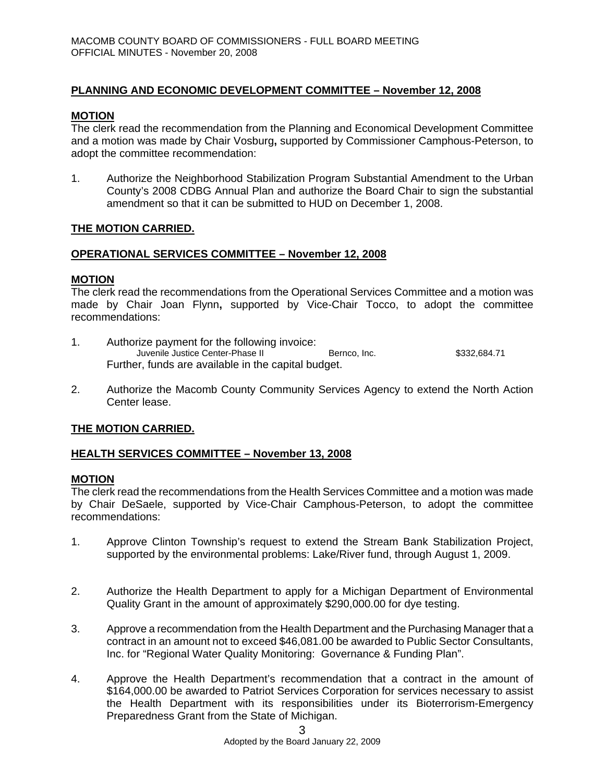# **PLANNING AND ECONOMIC DEVELOPMENT COMMITTEE – November 12, 2008**

### **MOTION**

The clerk read the recommendation from the Planning and Economical Development Committee and a motion was made by Chair Vosburg**,** supported by Commissioner Camphous-Peterson, to adopt the committee recommendation:

1. Authorize the Neighborhood Stabilization Program Substantial Amendment to the Urban County's 2008 CDBG Annual Plan and authorize the Board Chair to sign the substantial amendment so that it can be submitted to HUD on December 1, 2008.

### **THE MOTION CARRIED.**

### **OPERATIONAL SERVICES COMMITTEE – November 12, 2008**

### **MOTION**

The clerk read the recommendations from the Operational Services Committee and a motion was made by Chair Joan Flynn**,** supported by Vice-Chair Tocco, to adopt the committee recommendations:

| Authorize payment for the following invoice:        |              |              |
|-----------------------------------------------------|--------------|--------------|
| Juvenile Justice Center-Phase II                    | Bernco, Inc. | \$332,684.71 |
| Further, funds are available in the capital budget. |              |              |

2. Authorize the Macomb County Community Services Agency to extend the North Action Center lease.

# **THE MOTION CARRIED.**

### **HEALTH SERVICES COMMITTEE – November 13, 2008**

### **MOTION**

The clerk read the recommendations from the Health Services Committee and a motion was made by Chair DeSaele, supported by Vice-Chair Camphous-Peterson, to adopt the committee recommendations:

- 1. Approve Clinton Township's request to extend the Stream Bank Stabilization Project, supported by the environmental problems: Lake/River fund, through August 1, 2009.
- 2. Authorize the Health Department to apply for a Michigan Department of Environmental Quality Grant in the amount of approximately \$290,000.00 for dye testing.
- 3. Approve a recommendation from the Health Department and the Purchasing Manager that a contract in an amount not to exceed \$46,081.00 be awarded to Public Sector Consultants, Inc. for "Regional Water Quality Monitoring: Governance & Funding Plan".
- 4. Approve the Health Department's recommendation that a contract in the amount of \$164,000.00 be awarded to Patriot Services Corporation for services necessary to assist the Health Department with its responsibilities under its Bioterrorism-Emergency Preparedness Grant from the State of Michigan.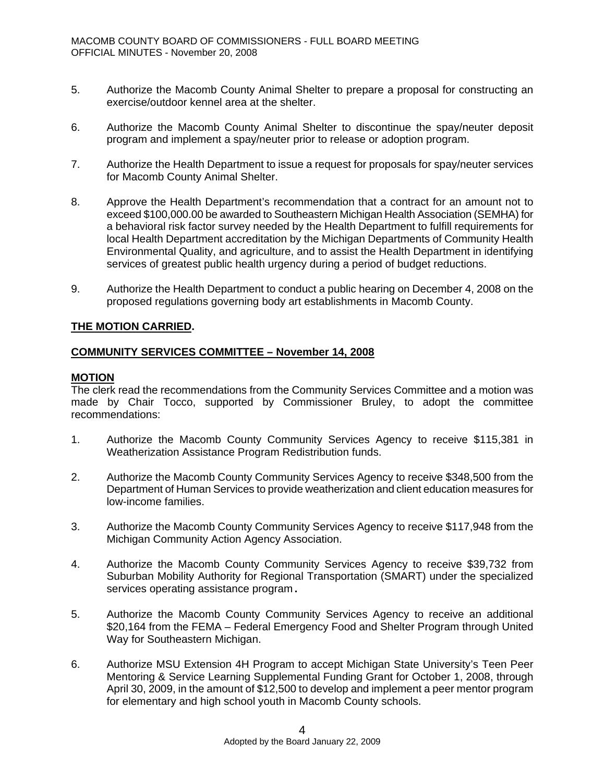- 5. Authorize the Macomb County Animal Shelter to prepare a proposal for constructing an exercise/outdoor kennel area at the shelter.
- 6. Authorize the Macomb County Animal Shelter to discontinue the spay/neuter deposit program and implement a spay/neuter prior to release or adoption program.
- 7. Authorize the Health Department to issue a request for proposals for spay/neuter services for Macomb County Animal Shelter.
- 8. Approve the Health Department's recommendation that a contract for an amount not to exceed \$100,000.00 be awarded to Southeastern Michigan Health Association (SEMHA) for a behavioral risk factor survey needed by the Health Department to fulfill requirements for local Health Department accreditation by the Michigan Departments of Community Health Environmental Quality, and agriculture, and to assist the Health Department in identifying services of greatest public health urgency during a period of budget reductions.
- 9. Authorize the Health Department to conduct a public hearing on December 4, 2008 on the proposed regulations governing body art establishments in Macomb County.

### **THE MOTION CARRIED.**

### **COMMUNITY SERVICES COMMITTEE – November 14, 2008**

#### **MOTION**

The clerk read the recommendations from the Community Services Committee and a motion was made by Chair Tocco, supported by Commissioner Bruley, to adopt the committee recommendations:

- 1. Authorize the Macomb County Community Services Agency to receive \$115,381 in Weatherization Assistance Program Redistribution funds.
- 2. Authorize the Macomb County Community Services Agency to receive \$348,500 from the Department of Human Services to provide weatherization and client education measures for low-income families.
- 3. Authorize the Macomb County Community Services Agency to receive \$117,948 from the Michigan Community Action Agency Association.
- 4. Authorize the Macomb County Community Services Agency to receive \$39,732 from Suburban Mobility Authority for Regional Transportation (SMART) under the specialized services operating assistance program**.**
- 5. Authorize the Macomb County Community Services Agency to receive an additional \$20,164 from the FEMA – Federal Emergency Food and Shelter Program through United Way for Southeastern Michigan.
- 6. Authorize MSU Extension 4H Program to accept Michigan State University's Teen Peer Mentoring & Service Learning Supplemental Funding Grant for October 1, 2008, through April 30, 2009, in the amount of \$12,500 to develop and implement a peer mentor program for elementary and high school youth in Macomb County schools.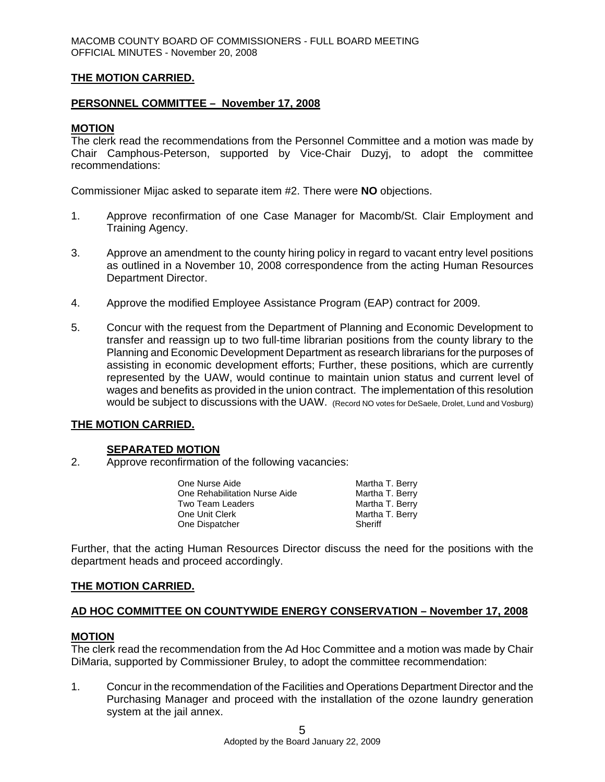# **THE MOTION CARRIED.**

### **PERSONNEL COMMITTEE – November 17, 2008**

### **MOTION**

The clerk read the recommendations from the Personnel Committee and a motion was made by Chair Camphous-Peterson, supported by Vice-Chair Duzyj, to adopt the committee recommendations:

Commissioner Mijac asked to separate item #2. There were **NO** objections.

- 1. Approve reconfirmation of one Case Manager for Macomb/St. Clair Employment and Training Agency.
- 3. Approve an amendment to the county hiring policy in regard to vacant entry level positions as outlined in a November 10, 2008 correspondence from the acting Human Resources Department Director.
- 4. Approve the modified Employee Assistance Program (EAP) contract for 2009.
- 5. Concur with the request from the Department of Planning and Economic Development to transfer and reassign up to two full-time librarian positions from the county library to the Planning and Economic Development Department as research librarians for the purposes of assisting in economic development efforts; Further, these positions, which are currently represented by the UAW, would continue to maintain union status and current level of wages and benefits as provided in the union contract. The implementation of this resolution would be subject to discussions with the UAW. (Record NO votes for DeSaele, Drolet, Lund and Vosburg)

### **THE MOTION CARRIED.**

### **SEPARATED MOTION**

2. Approve reconfirmation of the following vacancies:

| One Nurse Aide                | Martha T. Berry |
|-------------------------------|-----------------|
| One Rehabilitation Nurse Aide | Martha T. Berry |
| Two Team Leaders              | Martha T. Berry |
| One Unit Clerk                | Martha T. Berry |
| One Dispatcher                | Sheriff         |

Further, that the acting Human Resources Director discuss the need for the positions with the department heads and proceed accordingly.

### **THE MOTION CARRIED.**

### **AD HOC COMMITTEE ON COUNTYWIDE ENERGY CONSERVATION – November 17, 2008**

### **MOTION**

The clerk read the recommendation from the Ad Hoc Committee and a motion was made by Chair DiMaria, supported by Commissioner Bruley, to adopt the committee recommendation:

1. Concur in the recommendation of the Facilities and Operations Department Director and the Purchasing Manager and proceed with the installation of the ozone laundry generation system at the jail annex.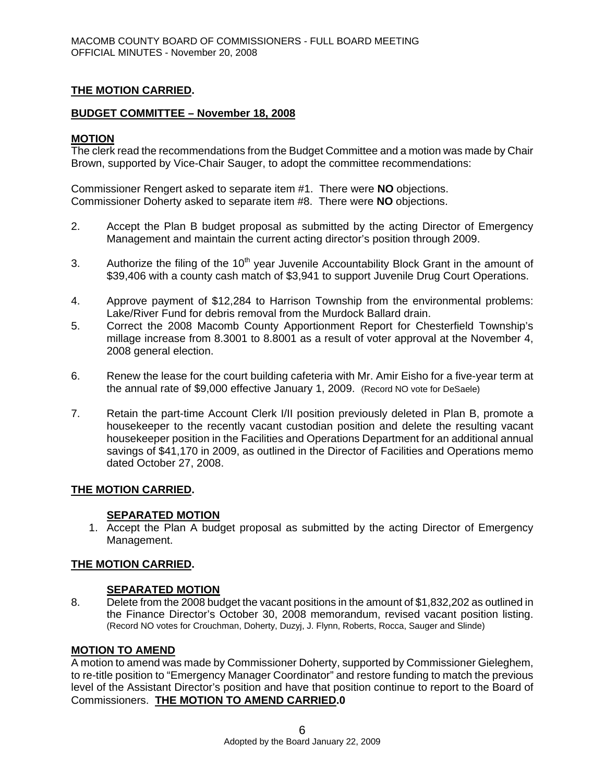# **THE MOTION CARRIED.**

### **BUDGET COMMITTEE – November 18, 2008**

# **MOTION**

The clerk read the recommendations from the Budget Committee and a motion was made by Chair Brown, supported by Vice-Chair Sauger, to adopt the committee recommendations:

Commissioner Rengert asked to separate item #1. There were **NO** objections. Commissioner Doherty asked to separate item #8. There were **NO** objections.

- 2. Accept the Plan B budget proposal as submitted by the acting Director of Emergency Management and maintain the current acting director's position through 2009.
- 3. Authorize the filing of the  $10<sup>th</sup>$  year Juvenile Accountability Block Grant in the amount of \$39,406 with a county cash match of \$3,941 to support Juvenile Drug Court Operations.
- 4. Approve payment of \$12,284 to Harrison Township from the environmental problems: Lake/River Fund for debris removal from the Murdock Ballard drain.
- 5. Correct the 2008 Macomb County Apportionment Report for Chesterfield Township's millage increase from 8.3001 to 8.8001 as a result of voter approval at the November 4, 2008 general election.
- 6. Renew the lease for the court building cafeteria with Mr. Amir Eisho for a five-year term at the annual rate of \$9,000 effective January 1, 2009. (Record NO vote for DeSaele)
- 7. Retain the part-time Account Clerk I/II position previously deleted in Plan B, promote a housekeeper to the recently vacant custodian position and delete the resulting vacant housekeeper position in the Facilities and Operations Department for an additional annual savings of \$41,170 in 2009, as outlined in the Director of Facilities and Operations memo dated October 27, 2008.

### **THE MOTION CARRIED.**

# **SEPARATED MOTION**

1. Accept the Plan A budget proposal as submitted by the acting Director of Emergency Management.

# **THE MOTION CARRIED.**

# **SEPARATED MOTION**

8. Delete from the 2008 budget the vacant positions in the amount of \$1,832,202 as outlined in the Finance Director's October 30, 2008 memorandum, revised vacant position listing. (Record NO votes for Crouchman, Doherty, Duzyj, J. Flynn, Roberts, Rocca, Sauger and Slinde)

### **MOTION TO AMEND**

A motion to amend was made by Commissioner Doherty, supported by Commissioner Gieleghem, to re-title position to "Emergency Manager Coordinator" and restore funding to match the previous level of the Assistant Director's position and have that position continue to report to the Board of Commissioners. **THE MOTION TO AMEND CARRIED.0**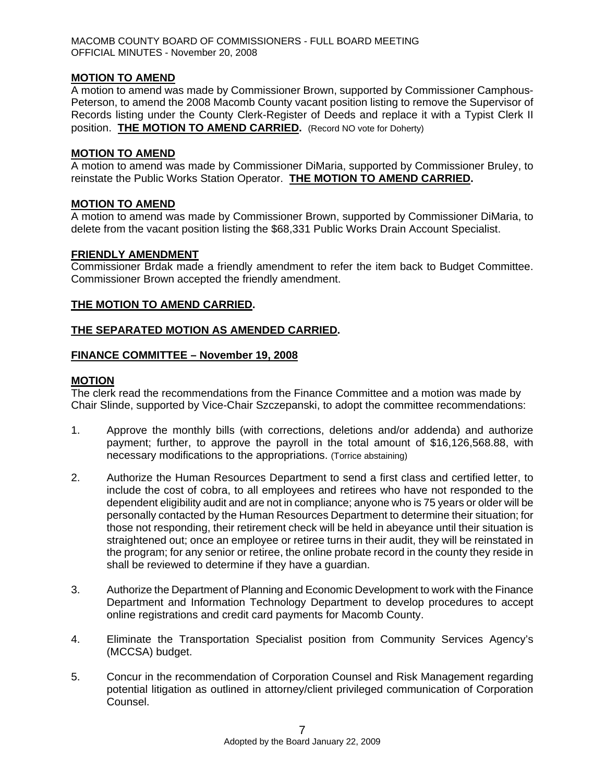### **MOTION TO AMEND**

A motion to amend was made by Commissioner Brown, supported by Commissioner Camphous-Peterson, to amend the 2008 Macomb County vacant position listing to remove the Supervisor of Records listing under the County Clerk-Register of Deeds and replace it with a Typist Clerk II position. **THE MOTION TO AMEND CARRIED.** (Record NO vote for Doherty)

### **MOTION TO AMEND**

A motion to amend was made by Commissioner DiMaria, supported by Commissioner Bruley, to reinstate the Public Works Station Operator. **THE MOTION TO AMEND CARRIED.** 

### **MOTION TO AMEND**

A motion to amend was made by Commissioner Brown, supported by Commissioner DiMaria, to delete from the vacant position listing the \$68,331 Public Works Drain Account Specialist.

#### **FRIENDLY AMENDMENT**

Commissioner Brdak made a friendly amendment to refer the item back to Budget Committee. Commissioner Brown accepted the friendly amendment.

### **THE MOTION TO AMEND CARRIED.**

### **THE SEPARATED MOTION AS AMENDED CARRIED.**

### **FINANCE COMMITTEE – November 19, 2008**

#### **MOTION**

The clerk read the recommendations from the Finance Committee and a motion was made by Chair Slinde, supported by Vice-Chair Szczepanski, to adopt the committee recommendations:

- 1. Approve the monthly bills (with corrections, deletions and/or addenda) and authorize payment; further, to approve the payroll in the total amount of \$16,126,568.88, with necessary modifications to the appropriations. (Torrice abstaining)
- 2. Authorize the Human Resources Department to send a first class and certified letter, to include the cost of cobra, to all employees and retirees who have not responded to the dependent eligibility audit and are not in compliance; anyone who is 75 years or older will be personally contacted by the Human Resources Department to determine their situation; for those not responding, their retirement check will be held in abeyance until their situation is straightened out; once an employee or retiree turns in their audit, they will be reinstated in the program; for any senior or retiree, the online probate record in the county they reside in shall be reviewed to determine if they have a guardian.
- 3. Authorize the Department of Planning and Economic Development to work with the Finance Department and Information Technology Department to develop procedures to accept online registrations and credit card payments for Macomb County.
- 4. Eliminate the Transportation Specialist position from Community Services Agency's (MCCSA) budget.
- 5. Concur in the recommendation of Corporation Counsel and Risk Management regarding potential litigation as outlined in attorney/client privileged communication of Corporation Counsel.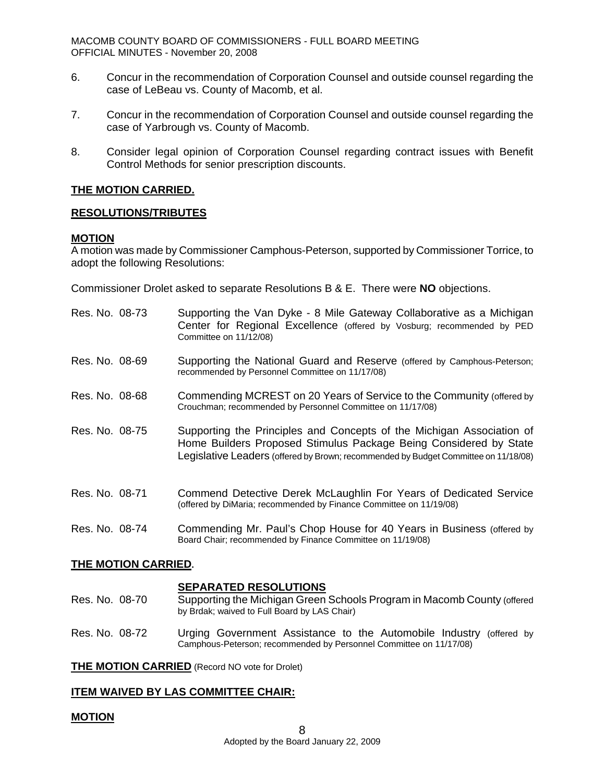- 6. Concur in the recommendation of Corporation Counsel and outside counsel regarding the case of LeBeau vs. County of Macomb, et al.
- 7. Concur in the recommendation of Corporation Counsel and outside counsel regarding the case of Yarbrough vs. County of Macomb.
- 8. Consider legal opinion of Corporation Counsel regarding contract issues with Benefit Control Methods for senior prescription discounts.

### **THE MOTION CARRIED.**

### **RESOLUTIONS/TRIBUTES**

#### **MOTION**

A motion was made by Commissioner Camphous-Peterson, supported by Commissioner Torrice, to adopt the following Resolutions:

Commissioner Drolet asked to separate Resolutions B & E. There were **NO** objections.

Res. No. 08-73 Supporting the Van Dyke - 8 Mile Gateway Collaborative as a Michigan Center for Regional Excellence (offered by Vosburg; recommended by PED Committee on 11/12/08) Res. No. 08-69 Supporting the National Guard and Reserve (offered by Camphous-Peterson; recommended by Personnel Committee on 11/17/08) Res. No. 08-68 Commending MCREST on 20 Years of Service to the Community (offered by Crouchman; recommended by Personnel Committee on 11/17/08) Res. No. 08-75 Supporting the Principles and Concepts of the Michigan Association of Home Builders Proposed Stimulus Package Being Considered by State Legislative Leaders (offered by Brown; recommended by Budget Committee on 11/18/08) Res. No. 08-71 Commend Detective Derek McLaughlin For Years of Dedicated Service (offered by DiMaria; recommended by Finance Committee on 11/19/08) Res. No. 08-74 Commending Mr. Paul's Chop House for 40 Years in Business (offered by Board Chair; recommended by Finance Committee on 11/19/08)

### **THE MOTION CARRIED.**

#### **SEPARATED RESOLUTIONS**

- Res. No. 08-70 Supporting the Michigan Green Schools Program in Macomb County (offered by Brdak; waived to Full Board by LAS Chair)
- Res. No. 08-72 Urging Government Assistance to the Automobile Industry (offered by Camphous-Peterson; recommended by Personnel Committee on 11/17/08)

**THE MOTION CARRIED** (Record NO vote for Drolet)

# **ITEM WAIVED BY LAS COMMITTEE CHAIR:**

### **MOTION**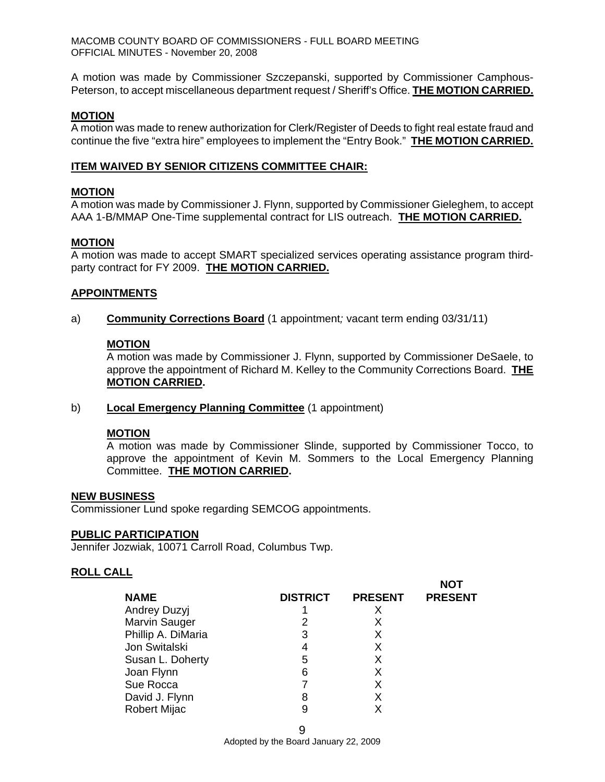A motion was made by Commissioner Szczepanski, supported by Commissioner Camphous-Peterson, to accept miscellaneous department request / Sheriff's Office. **THE MOTION CARRIED.** 

### **MOTION**

A motion was made to renew authorization for Clerk/Register of Deeds to fight real estate fraud and continue the five "extra hire" employees to implement the "Entry Book." **THE MOTION CARRIED.** 

#### **ITEM WAIVED BY SENIOR CITIZENS COMMITTEE CHAIR:**

#### **MOTION**

A motion was made by Commissioner J. Flynn, supported by Commissioner Gieleghem, to accept AAA 1-B/MMAP One-Time supplemental contract for LIS outreach. **THE MOTION CARRIED.** 

#### **MOTION**

A motion was made to accept SMART specialized services operating assistance program thirdparty contract for FY 2009. **THE MOTION CARRIED.** 

#### **APPOINTMENTS**

a) **Community Corrections Board** (1 appointment*;* vacant term ending 03/31/11)

### **MOTION**

A motion was made by Commissioner J. Flynn, supported by Commissioner DeSaele, to approve the appointment of Richard M. Kelley to the Community Corrections Board. **THE MOTION CARRIED.** 

#### b) **Local Emergency Planning Committee** (1 appointment)

#### **MOTION**

A motion was made by Commissioner Slinde, supported by Commissioner Tocco, to approve the appointment of Kevin M. Sommers to the Local Emergency Planning Committee. **THE MOTION CARRIED.** 

**NOT** 

#### **NEW BUSINESS**

Commissioner Lund spoke regarding SEMCOG appointments.

#### **PUBLIC PARTICIPATION**

Jennifer Jozwiak, 10071 Carroll Road, Columbus Twp.

### **ROLL CALL**

| <b>NAME</b>        | <b>DISTRICT</b> | <b>PRESENT</b> | ו שו<br><b>PRESENT</b> |
|--------------------|-----------------|----------------|------------------------|
| Andrey Duzyj       |                 |                |                        |
| Marvin Sauger      | 2               | X              |                        |
| Phillip A. DiMaria | 3               |                |                        |
| Jon Switalski      | 4               | х              |                        |
| Susan L. Doherty   | 5               |                |                        |
| Joan Flynn         | 6               | х              |                        |
| Sue Rocca          |                 |                |                        |
| David J. Flynn     | 8               | х              |                        |
| Robert Mijac       | 9               |                |                        |
|                    |                 |                |                        |